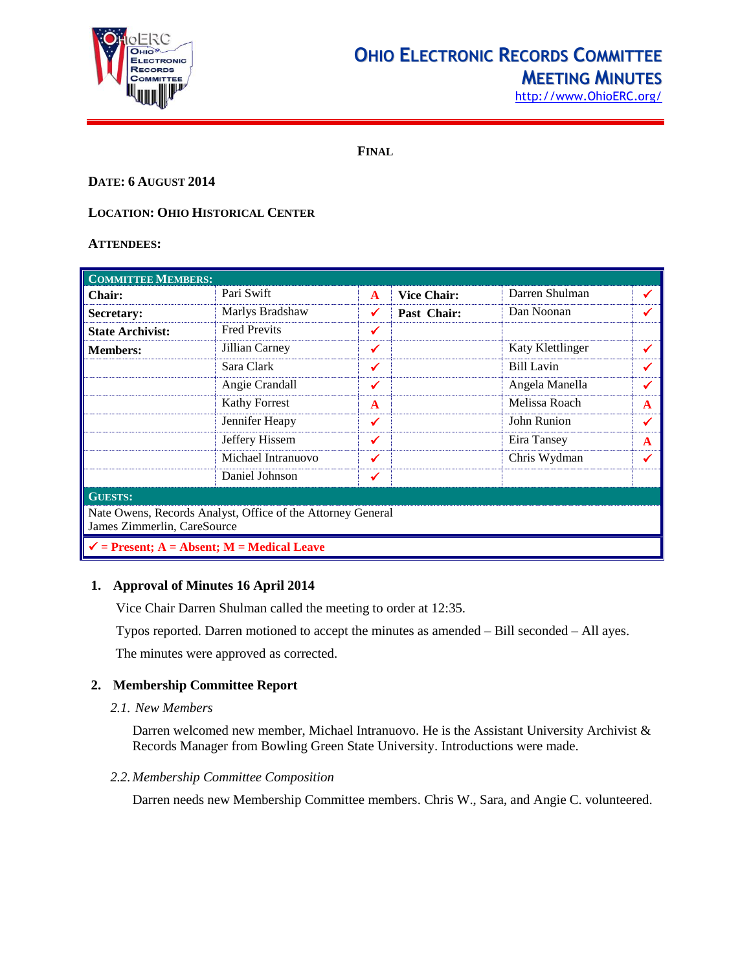

## **OHIO ELECTRONIC RECORDS COMMITTEE**

**MEETING MINUTES**

[http://www.OhioERC.org/](http://www.ohioerc.org/)

**FINAL**

#### **DATE: 6 AUGUST 2014**

#### **LOCATION: OHIO HISTORICAL CENTER**

#### **ATTENDEES:**

| <b>COMMITTEE MEMBERS:</b>                                                                  |                      |              |                    |                   |             |  |  |  |  |
|--------------------------------------------------------------------------------------------|----------------------|--------------|--------------------|-------------------|-------------|--|--|--|--|
| <b>Chair:</b>                                                                              | Pari Swift           | $\mathbf{A}$ | <b>Vice Chair:</b> | Darren Shulman    | ✔           |  |  |  |  |
| Secretary:                                                                                 | Marlys Bradshaw      | ✔            | Past Chair:        | Dan Noonan        |             |  |  |  |  |
| <b>State Archivist:</b>                                                                    | <b>Fred Previts</b>  | ✔            |                    |                   |             |  |  |  |  |
| <b>Members:</b>                                                                            | Jillian Carney       | ✔            |                    | Katy Klettlinger  | ✔           |  |  |  |  |
|                                                                                            | Sara Clark           | ✔            |                    | <b>Bill Lavin</b> |             |  |  |  |  |
|                                                                                            | Angie Crandall       | ✔            |                    | Angela Manella    | ✓           |  |  |  |  |
|                                                                                            | <b>Kathy Forrest</b> | $\mathbf{A}$ |                    | Melissa Roach     | A           |  |  |  |  |
|                                                                                            | Jennifer Heapy       | ✔            |                    | John Runion       | ✔           |  |  |  |  |
|                                                                                            | Jeffery Hissem       | ✓            |                    | Eira Tansey       | $\mathbf A$ |  |  |  |  |
|                                                                                            | Michael Intranuovo   | ✔            |                    | Chris Wydman      | ✔           |  |  |  |  |
|                                                                                            | Daniel Johnson       |              |                    |                   |             |  |  |  |  |
| <b>GUESTS:</b>                                                                             |                      |              |                    |                   |             |  |  |  |  |
| Nate Owens, Records Analyst, Office of the Attorney General<br>James Zimmerlin, CareSource |                      |              |                    |                   |             |  |  |  |  |
| $\checkmark$ = Present; A = Absent; M = Medical Leave                                      |                      |              |                    |                   |             |  |  |  |  |

#### **1. Approval of Minutes 16 April 2014**

Vice Chair Darren Shulman called the meeting to order at 12:35.

Typos reported. Darren motioned to accept the minutes as amended – Bill seconded – All ayes.

The minutes were approved as corrected.

#### **2. Membership Committee Report**

*2.1. New Members*

Darren welcomed new member, Michael Intranuovo. He is the Assistant University Archivist & Records Manager from Bowling Green State University. Introductions were made.

#### *2.2.Membership Committee Composition*

Darren needs new Membership Committee members. Chris W., Sara, and Angie C. volunteered.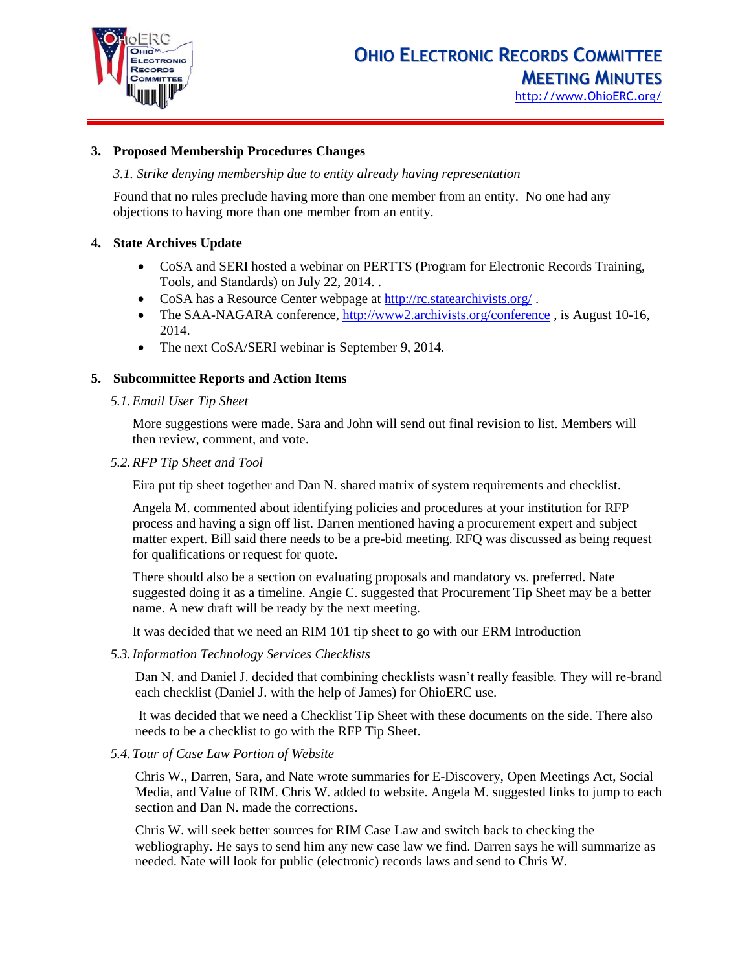

#### **3. Proposed Membership Procedures Changes**

#### *3.1. Strike denying membership due to entity already having representation*

Found that no rules preclude having more than one member from an entity. No one had any objections to having more than one member from an entity.

#### **4. State Archives Update**

- CoSA and SERI hosted a webinar on PERTTS (Program for Electronic Records Training, Tools, and Standards) on July 22, 2014. .
- CoSA has a Resource Center webpage at<http://rc.statearchivists.org/>.
- The SAA-NAGARA conference,<http://www2.archivists.org/conference>, is August 10-16, 2014.
- The next CoSA/SERI webinar is September 9, 2014.

#### **5. Subcommittee Reports and Action Items**

*5.1.Email User Tip Sheet*

More suggestions were made. Sara and John will send out final revision to list. Members will then review, comment, and vote.

*5.2.RFP Tip Sheet and Tool*

Eira put tip sheet together and Dan N. shared matrix of system requirements and checklist.

Angela M. commented about identifying policies and procedures at your institution for RFP process and having a sign off list. Darren mentioned having a procurement expert and subject matter expert. Bill said there needs to be a pre-bid meeting. RFQ was discussed as being request for qualifications or request for quote.

There should also be a section on evaluating proposals and mandatory vs. preferred. Nate suggested doing it as a timeline. Angie C. suggested that Procurement Tip Sheet may be a better name. A new draft will be ready by the next meeting.

It was decided that we need an RIM 101 tip sheet to go with our ERM Introduction

*5.3.Information Technology Services Checklists*

Dan N. and Daniel J. decided that combining checklists wasn't really feasible. They will re-brand each checklist (Daniel J. with the help of James) for OhioERC use.

It was decided that we need a Checklist Tip Sheet with these documents on the side. There also needs to be a checklist to go with the RFP Tip Sheet.

*5.4.Tour of Case Law Portion of Website*

Chris W., Darren, Sara, and Nate wrote summaries for E-Discovery, Open Meetings Act, Social Media, and Value of RIM. Chris W. added to website. Angela M. suggested links to jump to each section and Dan N. made the corrections.

Chris W. will seek better sources for RIM Case Law and switch back to checking the webliography. He says to send him any new case law we find. Darren says he will summarize as needed. Nate will look for public (electronic) records laws and send to Chris W.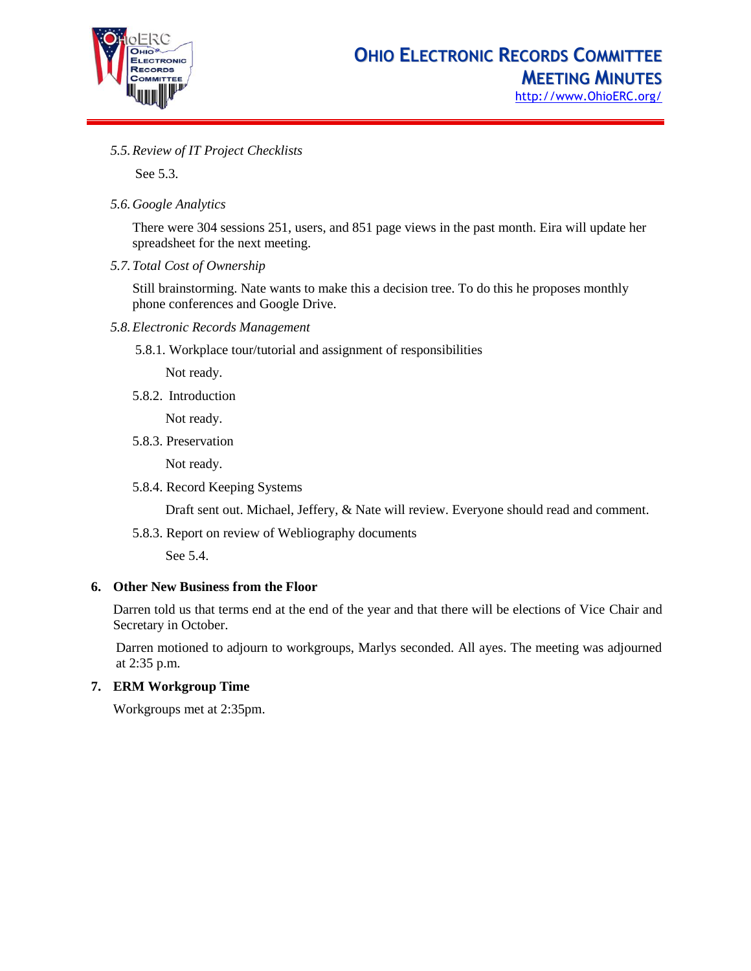

*5.5.Review of IT Project Checklists*

See 5.3.

*5.6.Google Analytics*

There were 304 sessions 251, users, and 851 page views in the past month. Eira will update her spreadsheet for the next meeting.

*5.7.Total Cost of Ownership*

Still brainstorming. Nate wants to make this a decision tree. To do this he proposes monthly phone conferences and Google Drive.

- *5.8.Electronic Records Management*
	- 5.8.1. Workplace tour/tutorial and assignment of responsibilities

Not ready.

5.8.2. Introduction

Not ready.

5.8.3. Preservation

Not ready.

5.8.4. Record Keeping Systems

Draft sent out. Michael, Jeffery, & Nate will review. Everyone should read and comment.

5.8.3. Report on review of Webliography documents

See 5.4.

#### **6. Other New Business from the Floor**

Darren told us that terms end at the end of the year and that there will be elections of Vice Chair and Secretary in October.

Darren motioned to adjourn to workgroups, Marlys seconded. All ayes. The meeting was adjourned at 2:35 p.m.

#### **7. ERM Workgroup Time**

Workgroups met at 2:35pm.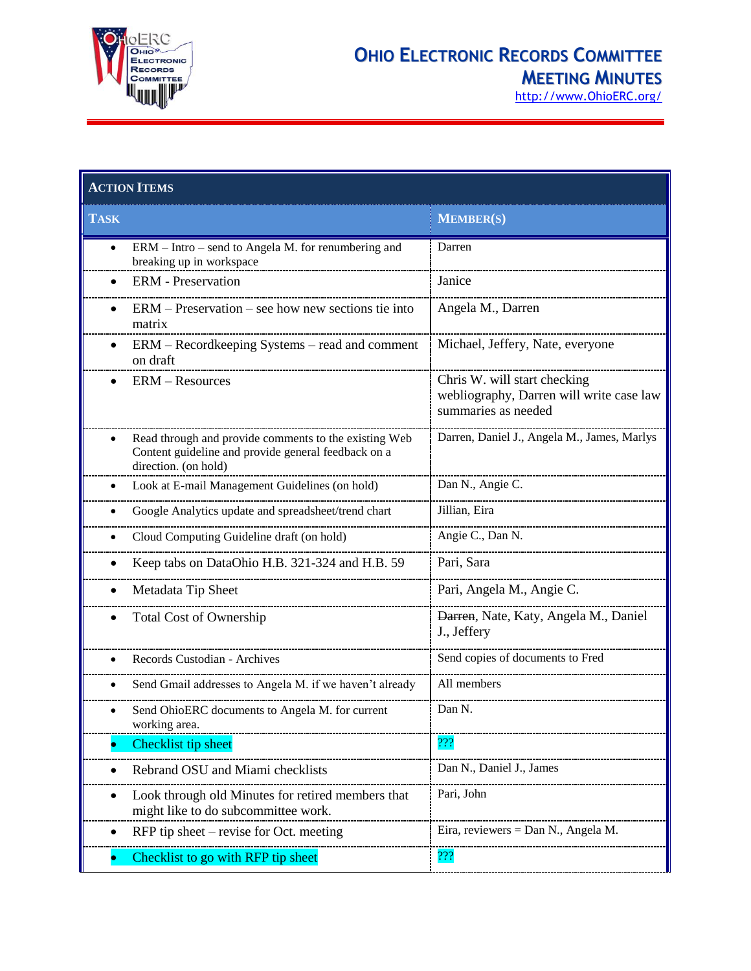

### **OHIO ELECTRONIC RECORDS COMMITTEE MEETING MINUTES**

[http://www.OhioERC.org/](http://www.ohioerc.org/)

| <b>ACTION ITEMS</b>                                                                                                                               |                                                                                                 |  |  |  |  |
|---------------------------------------------------------------------------------------------------------------------------------------------------|-------------------------------------------------------------------------------------------------|--|--|--|--|
| <b>TASK</b>                                                                                                                                       | <b>MEMBER(S)</b>                                                                                |  |  |  |  |
| ERM – Intro – send to Angela M. for renumbering and<br>$\bullet$<br>breaking up in workspace                                                      | Darren                                                                                          |  |  |  |  |
| <b>ERM</b> - Preservation                                                                                                                         | Janice                                                                                          |  |  |  |  |
| ERM – Preservation – see how new sections tie into<br>$\bullet$<br>matrix                                                                         | Angela M., Darren                                                                               |  |  |  |  |
| ERM - Recordkeeping Systems - read and comment<br>$\bullet$<br>on draft                                                                           | Michael, Jeffery, Nate, everyone                                                                |  |  |  |  |
| <b>ERM</b> – Resources                                                                                                                            | Chris W. will start checking<br>webliography, Darren will write case law<br>summaries as needed |  |  |  |  |
| Read through and provide comments to the existing Web<br>$\bullet$<br>Content guideline and provide general feedback on a<br>direction. (on hold) | Darren, Daniel J., Angela M., James, Marlys                                                     |  |  |  |  |
| Look at E-mail Management Guidelines (on hold)<br>٠                                                                                               | Dan N., Angie C.                                                                                |  |  |  |  |
| Google Analytics update and spreadsheet/trend chart<br>٠                                                                                          | Jillian, Eira                                                                                   |  |  |  |  |
| Cloud Computing Guideline draft (on hold)                                                                                                         | Angie C., Dan N.                                                                                |  |  |  |  |
| Keep tabs on DataOhio H.B. 321-324 and H.B. 59                                                                                                    | Pari, Sara                                                                                      |  |  |  |  |
| Metadata Tip Sheet                                                                                                                                | Pari, Angela M., Angie C.                                                                       |  |  |  |  |
| <b>Total Cost of Ownership</b>                                                                                                                    | Darren, Nate, Katy, Angela M., Daniel<br>J., Jeffery                                            |  |  |  |  |
| Records Custodian - Archives<br>$\bullet$                                                                                                         | Send copies of documents to Fred                                                                |  |  |  |  |
| Send Gmail addresses to Angela M. if we haven't already<br>٠                                                                                      | All members                                                                                     |  |  |  |  |
| Send OhioERC documents to Angela M. for current<br>working area.                                                                                  | Dan N.                                                                                          |  |  |  |  |
| Checklist tip sheet                                                                                                                               | ???                                                                                             |  |  |  |  |
| Rebrand OSU and Miami checklists                                                                                                                  | Dan N., Daniel J., James                                                                        |  |  |  |  |
| Look through old Minutes for retired members that<br>might like to do subcommittee work.                                                          | Pari, John                                                                                      |  |  |  |  |
| RFP tip sheet $-$ revise for Oct. meeting                                                                                                         | Eira, reviewers = Dan N., Angela M.                                                             |  |  |  |  |
| Checklist to go with RFP tip sheet                                                                                                                | 222                                                                                             |  |  |  |  |